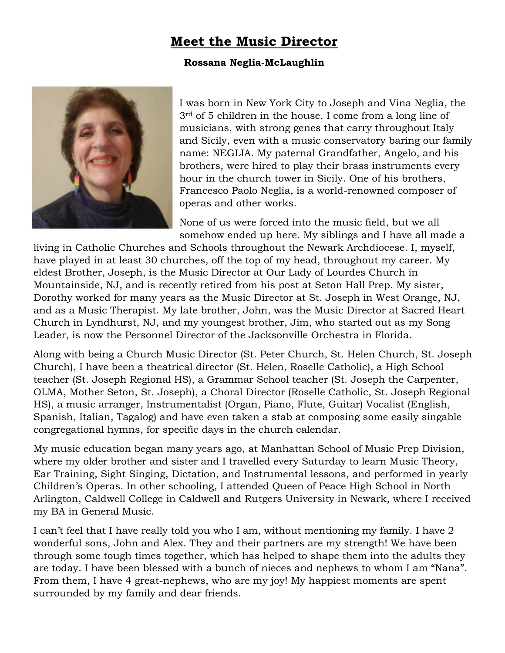## **Meet the Music Director**

## **Rossana Neglia-McLaughlin**



I was born in New York City to Joseph and Vina Neglia, the 3rd of 5 children in the house. I come from a long line of musicians, with strong genes that carry throughout Italy and Sicily, even with a music conservatory baring our family name: NEGLIA. My paternal Grandfather, Angelo, and his brothers, were hired to play their brass instruments every hour in the church tower in Sicily. One of his brothers, Francesco Paolo Neglia, is a world-renowned composer of operas and other works.

None of us were forced into the music field, but we all somehow ended up here. My siblings and I have all made a

living in Catholic Churches and Schools throughout the Newark Archdiocese. I, myself, have played in at least 30 churches, off the top of my head, throughout my career. My eldest Brother, Joseph, is the Music Director at Our Lady of Lourdes Church in Mountainside, NJ, and is recently retired from his post at Seton Hall Prep. My sister, Dorothy worked for many years as the Music Director at St. Joseph in West Orange, NJ, and as a Music Therapist. My late brother, John, was the Music Director at Sacred Heart Church in Lyndhurst, NJ, and my youngest brother, Jim, who started out as my Song Leader, is now the Personnel Director of the Jacksonville Orchestra in Florida.

Along with being a Church Music Director (St. Peter Church, St. Helen Church, St. Joseph Church), I have been a theatrical director (St. Helen, Roselle Catholic), a High School teacher (St. Joseph Regional HS), a Grammar School teacher (St. Joseph the Carpenter, OLMA, Mother Seton, St. Joseph), a Choral Director (Roselle Catholic, St. Joseph Regional HS), a music arranger, Instrumentalist (Organ, Piano, Flute, Guitar) Vocalist (English, Spanish, Italian, Tagalog) and have even taken a stab at composing some easily singable congregational hymns, for specific days in the church calendar.

My music education began many years ago, at Manhattan School of Music Prep Division, where my older brother and sister and I travelled every Saturday to learn Music Theory, Ear Training, Sight Singing, Dictation, and Instrumental lessons, and performed in yearly Children's Operas. In other schooling, I attended Queen of Peace High School in North Arlington, Caldwell College in Caldwell and Rutgers University in Newark, where I received my BA in General Music.

I can't feel that I have really told you who I am, without mentioning my family. I have 2 wonderful sons, John and Alex. They and their partners are my strength! We have been through some tough times together, which has helped to shape them into the adults they are today. I have been blessed with a bunch of nieces and nephews to whom I am "Nana". From them, I have 4 great-nephews, who are my joy! My happiest moments are spent surrounded by my family and dear friends.